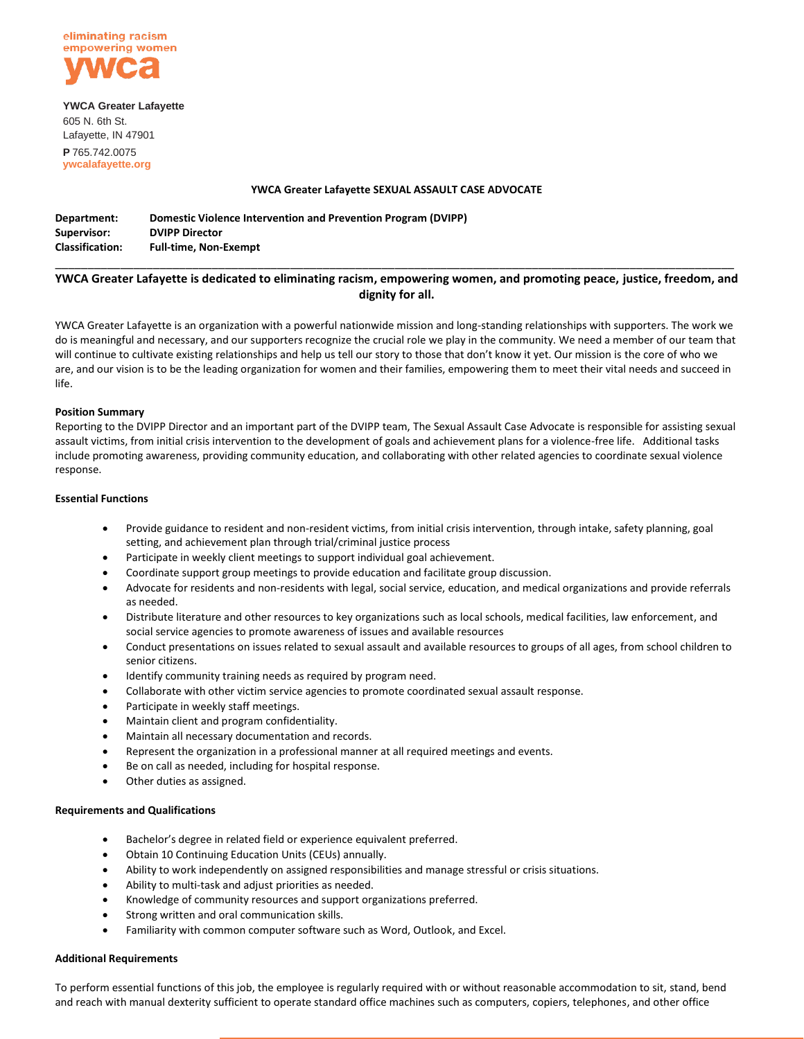

**YWCA Greater Lafayette** 605 N. 6th St. Lafayette, IN 47901 **P** 765.742.0075 **ywcalafayette.org**

### **YWCA Greater Lafayette SEXUAL ASSAULT CASE ADVOCATE**

| Department:            | Domestic Violence Intervention and Prevention Program (DVIPP) |
|------------------------|---------------------------------------------------------------|
| Supervisor:            | <b>DVIPP Director</b>                                         |
| <b>Classification:</b> | <b>Full-time, Non-Exempt</b>                                  |

# \_\_\_\_\_\_\_\_\_\_\_\_\_\_\_\_\_\_\_\_\_\_\_\_\_\_\_\_\_\_\_\_\_\_\_\_\_\_\_\_\_\_\_\_\_\_\_\_\_\_\_\_\_\_\_\_\_\_\_\_\_\_\_\_\_\_\_\_\_\_\_\_\_\_\_\_\_\_\_\_\_\_\_\_\_\_\_\_\_\_\_\_\_\_\_\_\_\_\_\_\_\_\_\_ **YWCA Greater Lafayette is dedicated to eliminating racism, empowering women, and promoting peace, justice, freedom, and dignity for all.**

YWCA Greater Lafayette is an organization with a powerful nationwide mission and long-standing relationships with supporters. The work we do is meaningful and necessary, and our supporters recognize the crucial role we play in the community. We need a member of our team that will continue to cultivate existing relationships and help us tell our story to those that don't know it yet. Our mission is the core of who we are, and our vision is to be the leading organization for women and their families, empowering them to meet their vital needs and succeed in life.

## **Position Summary**

Reporting to the DVIPP Director and an important part of the DVIPP team, The Sexual Assault Case Advocate is responsible for assisting sexual assault victims, from initial crisis intervention to the development of goals and achievement plans for a violence-free life. Additional tasks include promoting awareness, providing community education, and collaborating with other related agencies to coordinate sexual violence response.

## **Essential Functions**

- Provide guidance to resident and non-resident victims, from initial crisis intervention, through intake, safety planning, goal setting, and achievement plan through trial/criminal justice process
- Participate in weekly client meetings to support individual goal achievement.
- Coordinate support group meetings to provide education and facilitate group discussion.
- Advocate for residents and non-residents with legal, social service, education, and medical organizations and provide referrals as needed.
- Distribute literature and other resources to key organizations such as local schools, medical facilities, law enforcement, and social service agencies to promote awareness of issues and available resources
- Conduct presentations on issues related to sexual assault and available resources to groups of all ages, from school children to senior citizens.
- Identify community training needs as required by program need.
- Collaborate with other victim service agencies to promote coordinated sexual assault response.
- Participate in weekly staff meetings.
- Maintain client and program confidentiality.
- Maintain all necessary documentation and records.
- Represent the organization in a professional manner at all required meetings and events.
- Be on call as needed, including for hospital response.
- Other duties as assigned.

#### **Requirements and Qualifications**

- Bachelor's degree in related field or experience equivalent preferred.
- Obtain 10 Continuing Education Units (CEUs) annually.
- Ability to work independently on assigned responsibilities and manage stressful or crisis situations.
- Ability to multi-task and adjust priorities as needed.
- Knowledge of community resources and support organizations preferred.
- Strong written and oral communication skills.
- Familiarity with common computer software such as Word, Outlook, and Excel.

#### **Additional Requirements**

To perform essential functions of this job, the employee is regularly required with or without reasonable accommodation to sit, stand, bend and reach with manual dexterity sufficient to operate standard office machines such as computers, copiers, telephones, and other office